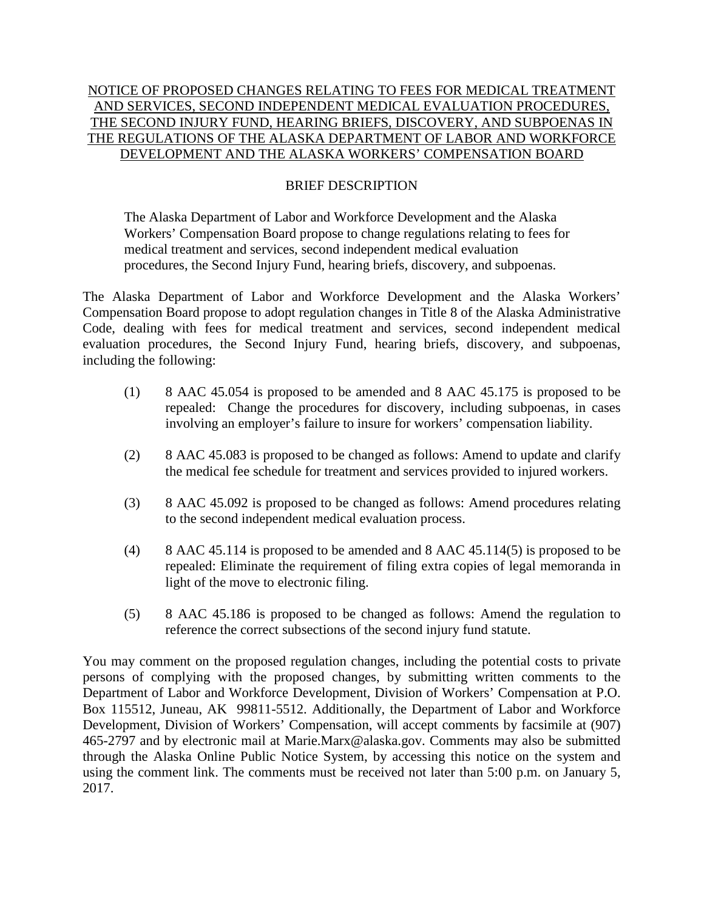## NOTICE OF PROPOSED CHANGES RELATING TO FEES FOR MEDICAL TREATMENT AND SERVICES, SECOND INDEPENDENT MEDICAL EVALUATION PROCEDURES, THE SECOND INJURY FUND, HEARING BRIEFS, DISCOVERY, AND SUBPOENAS IN THE REGULATIONS OF THE ALASKA DEPARTMENT OF LABOR AND WORKFORCE DEVELOPMENT AND THE ALASKA WORKERS' COMPENSATION BOARD

## BRIEF DESCRIPTION

The Alaska Department of Labor and Workforce Development and the Alaska Workers' Compensation Board propose to change regulations relating to fees for medical treatment and services, second independent medical evaluation procedures, the Second Injury Fund, hearing briefs, discovery, and subpoenas.

The Alaska Department of Labor and Workforce Development and the Alaska Workers' Compensation Board propose to adopt regulation changes in Title 8 of the Alaska Administrative Code, dealing with fees for medical treatment and services, second independent medical evaluation procedures, the Second Injury Fund, hearing briefs, discovery, and subpoenas, including the following:

- (1) 8 AAC 45.054 is proposed to be amended and 8 AAC 45.175 is proposed to be repealed: Change the procedures for discovery, including subpoenas, in cases involving an employer's failure to insure for workers' compensation liability.
- (2) 8 AAC 45.083 is proposed to be changed as follows: Amend to update and clarify the medical fee schedule for treatment and services provided to injured workers.
- (3) 8 AAC 45.092 is proposed to be changed as follows: Amend procedures relating to the second independent medical evaluation process.
- (4) 8 AAC 45.114 is proposed to be amended and 8 AAC 45.114(5) is proposed to be repealed: Eliminate the requirement of filing extra copies of legal memoranda in light of the move to electronic filing.
- (5) 8 AAC 45.186 is proposed to be changed as follows: Amend the regulation to reference the correct subsections of the second injury fund statute.

You may comment on the proposed regulation changes, including the potential costs to private persons of complying with the proposed changes, by submitting written comments to the Department of Labor and Workforce Development, Division of Workers' Compensation at P.O. Box 115512, Juneau, AK 99811-5512. Additionally, the Department of Labor and Workforce Development, Division of Workers' Compensation, will accept comments by facsimile at (907) 465-2797 and by electronic mail at Marie.Marx@alaska.gov. Comments may also be submitted through the Alaska Online Public Notice System, by accessing this notice on the system and using the comment link. The comments must be received not later than 5:00 p.m. on January 5, 2017.